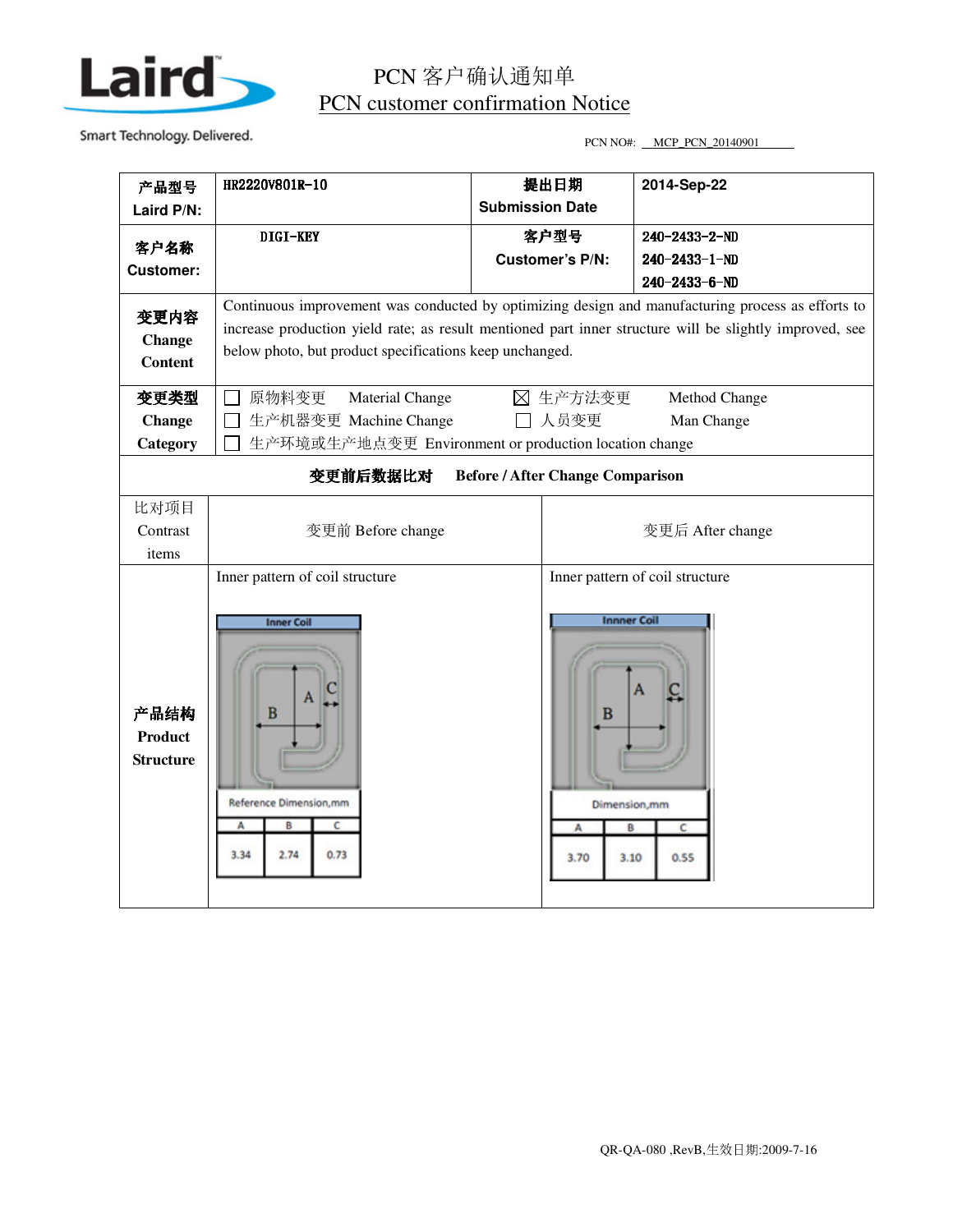

## PCN 客户确认通知单 PCN customer confirmation Notice

Smart Technology. Delivered. The state of the state of the PCN NO and PCN NO and PCN NO and PCN 20140901

|                                                                                                                          | HR2220V801R-10                                                                                    |                                |                 | 2014-Sep-22                     |  |
|--------------------------------------------------------------------------------------------------------------------------|---------------------------------------------------------------------------------------------------|--------------------------------|-----------------|---------------------------------|--|
| 产品型号                                                                                                                     |                                                                                                   | 提出日期<br><b>Submission Date</b> |                 |                                 |  |
| Laird P/N:                                                                                                               |                                                                                                   |                                |                 |                                 |  |
| 客户名称                                                                                                                     | DIGI-KEY                                                                                          | 客户型号                           |                 | $240 - 2433 - 2 - N D$          |  |
| <b>Customer:</b>                                                                                                         |                                                                                                   |                                | Customer's P/N: | $240 - 2433 - 1 - ND$           |  |
|                                                                                                                          |                                                                                                   |                                |                 | $240 - 2433 - 6 - N D$          |  |
| 变更内容                                                                                                                     | Continuous improvement was conducted by optimizing design and manufacturing process as efforts to |                                |                 |                                 |  |
| increase production yield rate; as result mentioned part inner structure will be slightly improved, see<br><b>Change</b> |                                                                                                   |                                |                 |                                 |  |
| <b>Content</b>                                                                                                           | below photo, but product specifications keep unchanged.                                           |                                |                 |                                 |  |
|                                                                                                                          |                                                                                                   |                                |                 |                                 |  |
| 变更类型                                                                                                                     | ⊠ 生产方法变更<br>原物料变更<br>Material Change<br>Method Change                                             |                                |                 |                                 |  |
| <b>Change</b>                                                                                                            | 人员变更<br>生产机器变更 Machine Change<br>Man Change                                                       |                                |                 |                                 |  |
| Category                                                                                                                 | 生产环境或生产地点变更 Environment or production location change                                             |                                |                 |                                 |  |
| 变更前后数据比对<br><b>Before / After Change Comparison</b>                                                                      |                                                                                                   |                                |                 |                                 |  |
| 比对项目                                                                                                                     |                                                                                                   |                                |                 |                                 |  |
| Contrast                                                                                                                 | 变更前 Before change                                                                                 |                                |                 | 变更后 After change                |  |
| items                                                                                                                    |                                                                                                   |                                |                 |                                 |  |
|                                                                                                                          | Inner pattern of coil structure                                                                   |                                |                 | Inner pattern of coil structure |  |
|                                                                                                                          |                                                                                                   |                                |                 |                                 |  |
|                                                                                                                          | <b>Inner Coil</b>                                                                                 |                                |                 | <b>Innner Coil</b>              |  |
|                                                                                                                          |                                                                                                   |                                |                 |                                 |  |
|                                                                                                                          |                                                                                                   |                                |                 |                                 |  |
| 产品结构                                                                                                                     |                                                                                                   |                                |                 |                                 |  |
|                                                                                                                          | в                                                                                                 |                                | в               |                                 |  |
| Product                                                                                                                  |                                                                                                   |                                |                 |                                 |  |
| <b>Structure</b>                                                                                                         |                                                                                                   |                                |                 |                                 |  |
|                                                                                                                          |                                                                                                   |                                |                 |                                 |  |
|                                                                                                                          | Reference Dimension, mm                                                                           |                                |                 | Dimension,mm                    |  |
|                                                                                                                          | А<br>в<br>c                                                                                       |                                | А               | c<br>B                          |  |
|                                                                                                                          | 3.34<br>2.74<br>0.73                                                                              |                                |                 |                                 |  |
|                                                                                                                          |                                                                                                   |                                | 3.70            | 0.55<br>3.10                    |  |
|                                                                                                                          |                                                                                                   |                                |                 |                                 |  |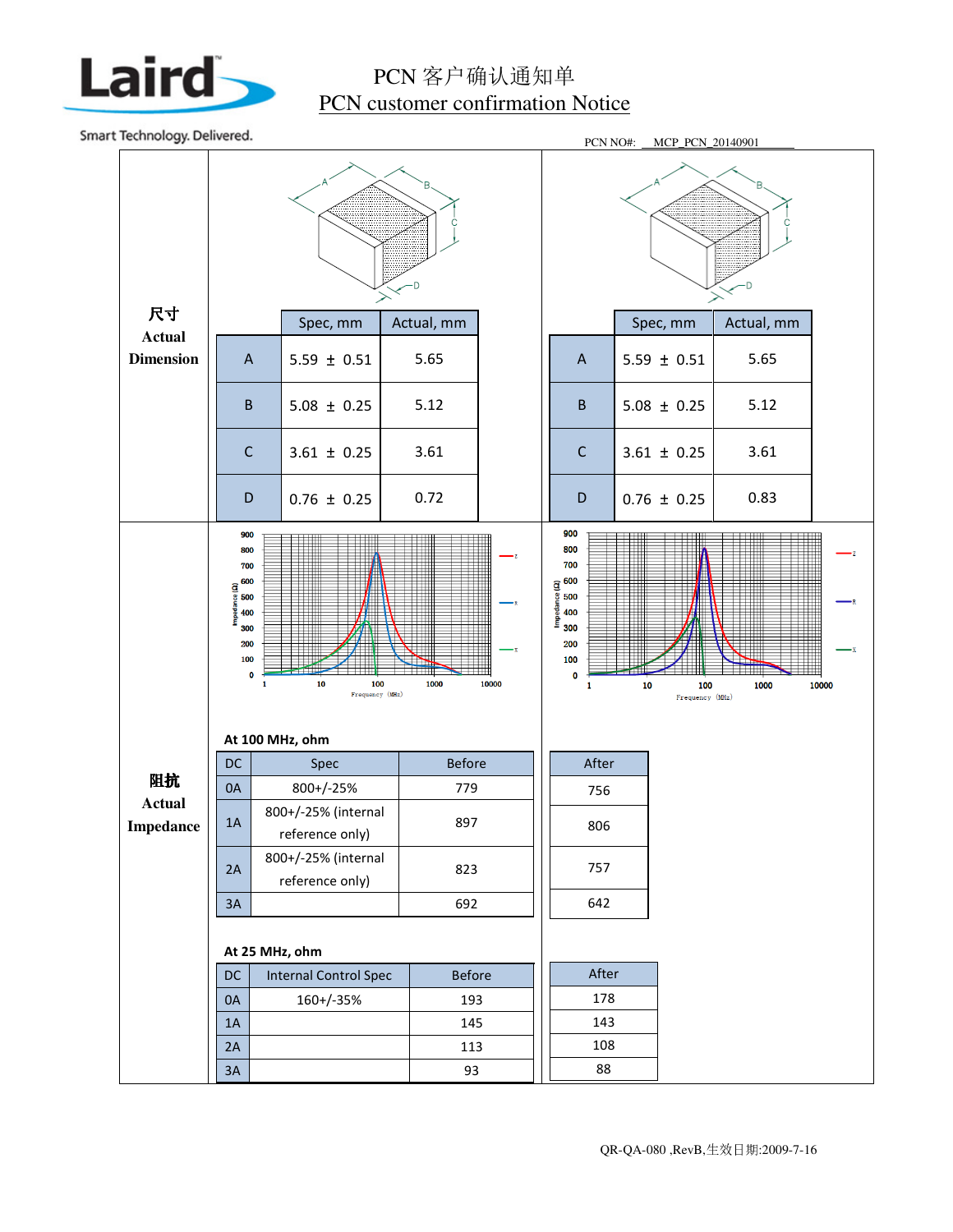

## PCN 客户确认通知单 PCN customer confirmation Notice